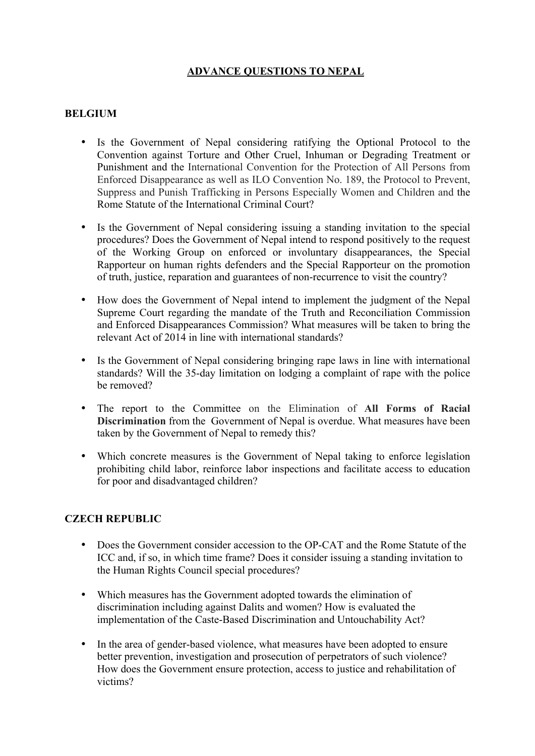# **ADVANCE QUESTIONS TO NEPAL**

### **BELGIUM**

- Is the Government of Nepal considering ratifying the Optional Protocol to the Convention against Torture and Other Cruel, Inhuman or Degrading Treatment or Punishment and the International Convention for the Protection of All Persons from Enforced Disappearance as well as ILO Convention No. 189, the Protocol to Prevent, Suppress and Punish Trafficking in Persons Especially Women and Children and the Rome Statute of the International Criminal Court?
- Is the Government of Nepal considering issuing a standing invitation to the special procedures? Does the Government of Nepal intend to respond positively to the request of the Working Group on enforced or involuntary disappearances, the Special Rapporteur on human rights defenders and the Special Rapporteur on the promotion of truth, justice, reparation and guarantees of non-recurrence to visit the country?
- How does the Government of Nepal intend to implement the judgment of the Nepal Supreme Court regarding the mandate of the Truth and Reconciliation Commission and Enforced Disappearances Commission? What measures will be taken to bring the relevant Act of 2014 in line with international standards?
- Is the Government of Nepal considering bringing rape laws in line with international standards? Will the 35-day limitation on lodging a complaint of rape with the police be removed?
- The report to the Committee on the Elimination of **All Forms of Racial Discrimination** from the Government of Nepal is overdue. What measures have been taken by the Government of Nepal to remedy this?
- Which concrete measures is the Government of Nepal taking to enforce legislation prohibiting child labor, reinforce labor inspections and facilitate access to education for poor and disadvantaged children?

### **CZECH REPUBLIC**

- Does the Government consider accession to the OP-CAT and the Rome Statute of the ICC and, if so, in which time frame? Does it consider issuing a standing invitation to the Human Rights Council special procedures?
- Which measures has the Government adopted towards the elimination of discrimination including against Dalits and women? How is evaluated the implementation of the Caste-Based Discrimination and Untouchability Act?
- In the area of gender-based violence, what measures have been adopted to ensure better prevention, investigation and prosecution of perpetrators of such violence? How does the Government ensure protection, access to justice and rehabilitation of victims?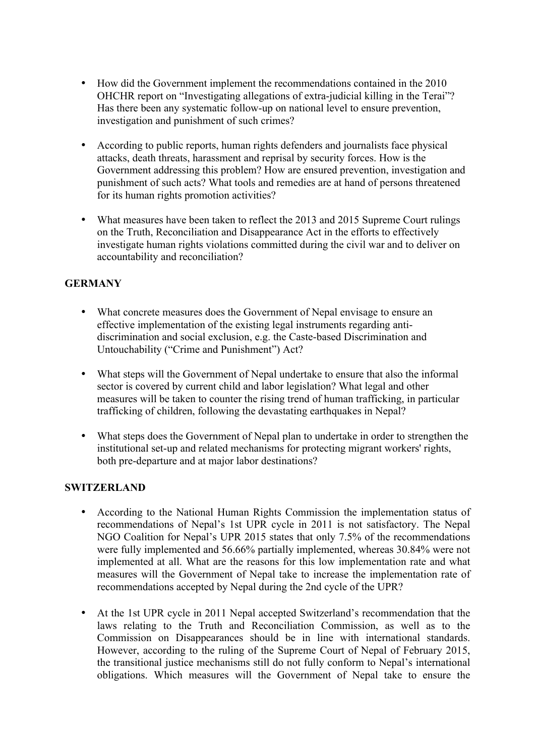- How did the Government implement the recommendations contained in the 2010 OHCHR report on "Investigating allegations of extra-judicial killing in the Terai"? Has there been any systematic follow-up on national level to ensure prevention, investigation and punishment of such crimes?
- According to public reports, human rights defenders and journalists face physical attacks, death threats, harassment and reprisal by security forces. How is the Government addressing this problem? How are ensured prevention, investigation and punishment of such acts? What tools and remedies are at hand of persons threatened for its human rights promotion activities?
- What measures have been taken to reflect the 2013 and 2015 Supreme Court rulings on the Truth, Reconciliation and Disappearance Act in the efforts to effectively investigate human rights violations committed during the civil war and to deliver on accountability and reconciliation?

# **GERMANY**

- What concrete measures does the Government of Nepal envisage to ensure an effective implementation of the existing legal instruments regarding antidiscrimination and social exclusion, e.g. the Caste-based Discrimination and Untouchability ("Crime and Punishment") Act?
- What steps will the Government of Nepal undertake to ensure that also the informal sector is covered by current child and labor legislation? What legal and other measures will be taken to counter the rising trend of human trafficking, in particular trafficking of children, following the devastating earthquakes in Nepal?
- What steps does the Government of Nepal plan to undertake in order to strengthen the institutional set-up and related mechanisms for protecting migrant workers' rights, both pre-departure and at major labor destinations?

#### **SWITZERLAND**

- According to the National Human Rights Commission the implementation status of recommendations of Nepal's 1st UPR cycle in 2011 is not satisfactory. The Nepal NGO Coalition for Nepal's UPR 2015 states that only 7.5% of the recommendations were fully implemented and 56.66% partially implemented, whereas 30.84% were not implemented at all. What are the reasons for this low implementation rate and what measures will the Government of Nepal take to increase the implementation rate of recommendations accepted by Nepal during the 2nd cycle of the UPR?
- At the 1st UPR cycle in 2011 Nepal accepted Switzerland's recommendation that the laws relating to the Truth and Reconciliation Commission, as well as to the Commission on Disappearances should be in line with international standards. However, according to the ruling of the Supreme Court of Nepal of February 2015, the transitional justice mechanisms still do not fully conform to Nepal's international obligations. Which measures will the Government of Nepal take to ensure the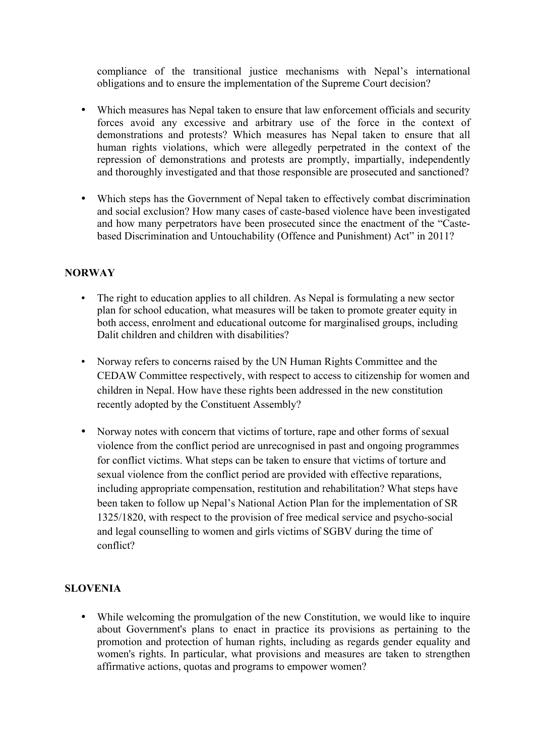compliance of the transitional justice mechanisms with Nepal's international obligations and to ensure the implementation of the Supreme Court decision?

- Which measures has Nepal taken to ensure that law enforcement officials and security forces avoid any excessive and arbitrary use of the force in the context of demonstrations and protests? Which measures has Nepal taken to ensure that all human rights violations, which were allegedly perpetrated in the context of the repression of demonstrations and protests are promptly, impartially, independently and thoroughly investigated and that those responsible are prosecuted and sanctioned?
- Which steps has the Government of Nepal taken to effectively combat discrimination and social exclusion? How many cases of caste-based violence have been investigated and how many perpetrators have been prosecuted since the enactment of the "Castebased Discrimination and Untouchability (Offence and Punishment) Act" in 2011?

### **NORWAY**

- The right to education applies to all children. As Nepal is formulating a new sector plan for school education, what measures will be taken to promote greater equity in both access, enrolment and educational outcome for marginalised groups, including Dalit children and children with disabilities?
- Norway refers to concerns raised by the UN Human Rights Committee and the CEDAW Committee respectively, with respect to access to citizenship for women and children in Nepal. How have these rights been addressed in the new constitution recently adopted by the Constituent Assembly?
- Norway notes with concern that victims of torture, rape and other forms of sexual violence from the conflict period are unrecognised in past and ongoing programmes for conflict victims. What steps can be taken to ensure that victims of torture and sexual violence from the conflict period are provided with effective reparations, including appropriate compensation, restitution and rehabilitation? What steps have been taken to follow up Nepal's National Action Plan for the implementation of SR 1325/1820, with respect to the provision of free medical service and psycho-social and legal counselling to women and girls victims of SGBV during the time of conflict?

# **SLOVENIA**

• While welcoming the promulgation of the new Constitution, we would like to inquire about Government's plans to enact in practice its provisions as pertaining to the promotion and protection of human rights, including as regards gender equality and women's rights. In particular, what provisions and measures are taken to strengthen affirmative actions, quotas and programs to empower women?